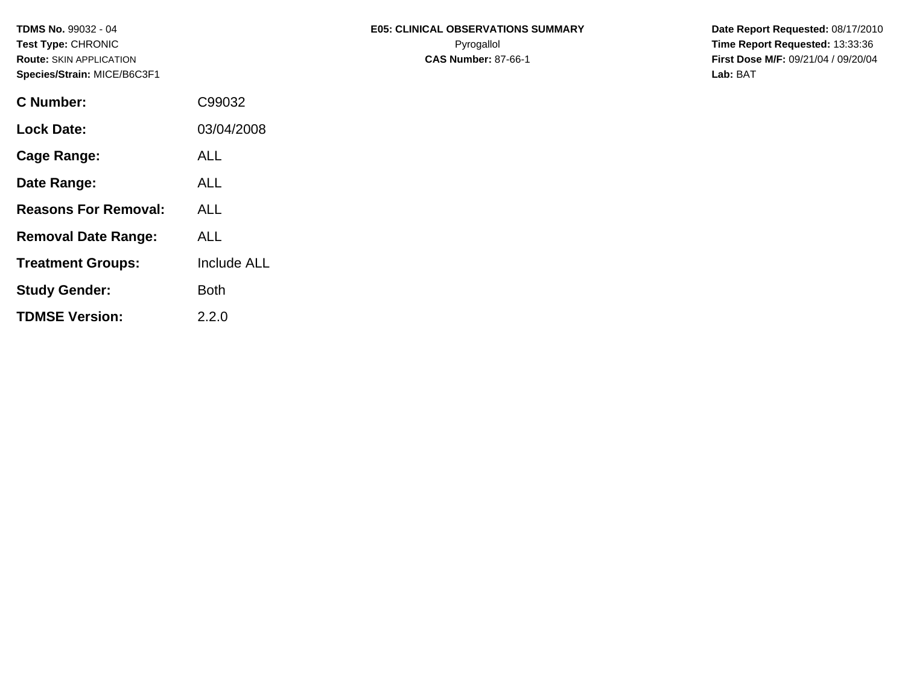| <b>Route: SKIN APPLICATION</b><br>Species/Strain: MICE/B6C3F1 |            | <b>CAS Number: 87-66-1</b> | <b>First Dos</b> |  |  |
|---------------------------------------------------------------|------------|----------------------------|------------------|--|--|
|                                                               |            |                            | Lab: BAT         |  |  |
| <b>C</b> Number:                                              | C99032     |                            |                  |  |  |
| <b>Lock Date:</b>                                             | 03/04/2008 |                            |                  |  |  |
|                                                               |            |                            |                  |  |  |

**Route:** SKIN APPLICATION **CAS Number:** 87-66-1 **First Dose M/F:** 09/21/04 / 09/20/04

| <b>Lock Date:</b>           | 03/04/2008  |
|-----------------------------|-------------|
| Cage Range:                 | <b>ALL</b>  |
| Date Range:                 | ALL         |
| <b>Reasons For Removal:</b> | ALL         |
| <b>Removal Date Range:</b>  | ALL         |
| <b>Treatment Groups:</b>    | Include ALL |
| <b>Study Gender:</b>        | Both        |
| <b>TDMSE Version:</b>       | 2.2.0       |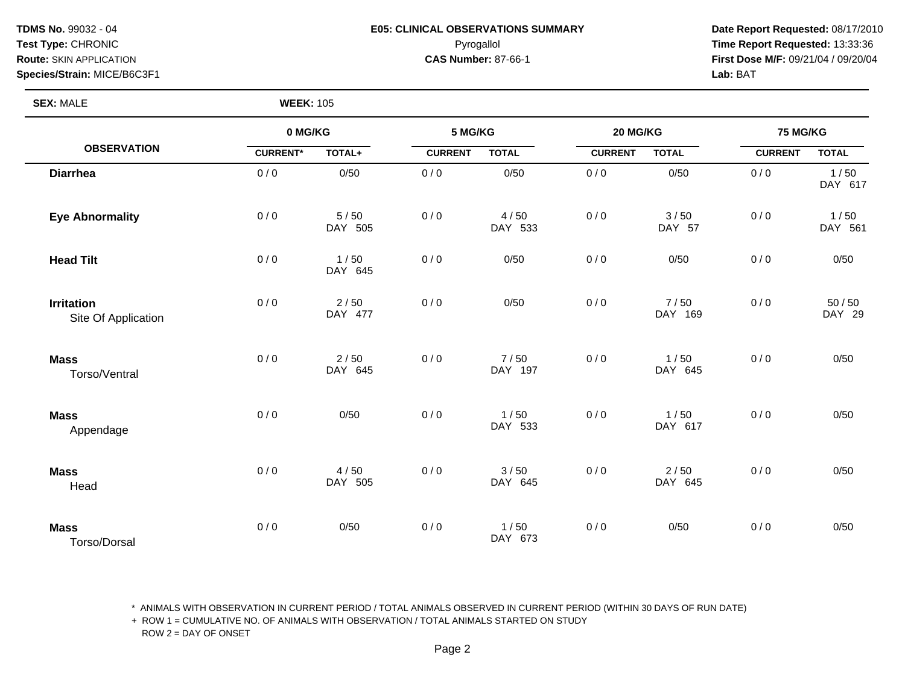### **TDMS No.** 99032 - 04 **E05: CLINICAL OBSERVATIONS SUMMARY** Date Report Requested: 08/17/2010 **Test Type:** CHRONIC Pyrogallol **Time Report Requested:** 13:33:36 **Route:** SKIN APPLICATION **CAS Number:** 87-66-1 **First Dose M/F:** 09/21/04 / 09/20/04

**Species/Strain:** MICE/B6C3F1 **Lab:** BAT

**SEX: MALE** 

| <b>WEEK: 105</b> |
|------------------|
|------------------|

|                                          | 0 MG/KG         |                   | 5 MG/KG        |                 | 20 MG/KG       |                 | <b>75 MG/KG</b> |                   |
|------------------------------------------|-----------------|-------------------|----------------|-----------------|----------------|-----------------|-----------------|-------------------|
| <b>OBSERVATION</b>                       | <b>CURRENT*</b> | TOTAL+            | <b>CURRENT</b> | <b>TOTAL</b>    | <b>CURRENT</b> | <b>TOTAL</b>    | <b>CURRENT</b>  | <b>TOTAL</b>      |
| <b>Diarrhea</b>                          | 0/0             | 0/50              | 0/0            | 0/50            | 0/0            | 0/50            | 0/0             | 1/50<br>DAY 617   |
| <b>Eye Abnormality</b>                   | 0/0             | 5/50<br>DAY 505   | 0/0            | 4/50<br>DAY 533 | 0/0            | 3/50<br>DAY 57  | 0/0             | 1/50<br>DAY 561   |
| <b>Head Tilt</b>                         | 0/0             | 1/50<br>DAY 645   | 0/0            | 0/50            | 0/0            | 0/50            | 0/0             | 0/50              |
| <b>Irritation</b><br>Site Of Application | 0/0             | 2/50<br>DAY 477   | 0/0            | 0/50            | 0/0            | 7/50<br>DAY 169 | 0/0             | $50/50$<br>DAY 29 |
| <b>Mass</b><br>Torso/Ventral             | 0/0             | $2/50$<br>DAY 645 | 0/0            | 7/50<br>DAY 197 | 0/0            | 1/50<br>DAY 645 | 0/0             | 0/50              |
| <b>Mass</b><br>Appendage                 | 0/0             | 0/50              | 0/0            | 1/50<br>DAY 533 | 0/0            | 1/50<br>DAY 617 | 0/0             | 0/50              |
| <b>Mass</b><br>Head                      | 0/0             | 4/50<br>DAY 505   | 0/0            | 3/50<br>DAY 645 | 0/0            | 2/50<br>DAY 645 | 0/0             | 0/50              |
| <b>Mass</b><br>Torso/Dorsal              | 0/0             | 0/50              | 0/0            | 1/50<br>DAY 673 | 0/0            | 0/50            | 0/0             | 0/50              |

\* ANIMALS WITH OBSERVATION IN CURRENT PERIOD / TOTAL ANIMALS OBSERVED IN CURRENT PERIOD (WITHIN 30 DAYS OF RUN DATE)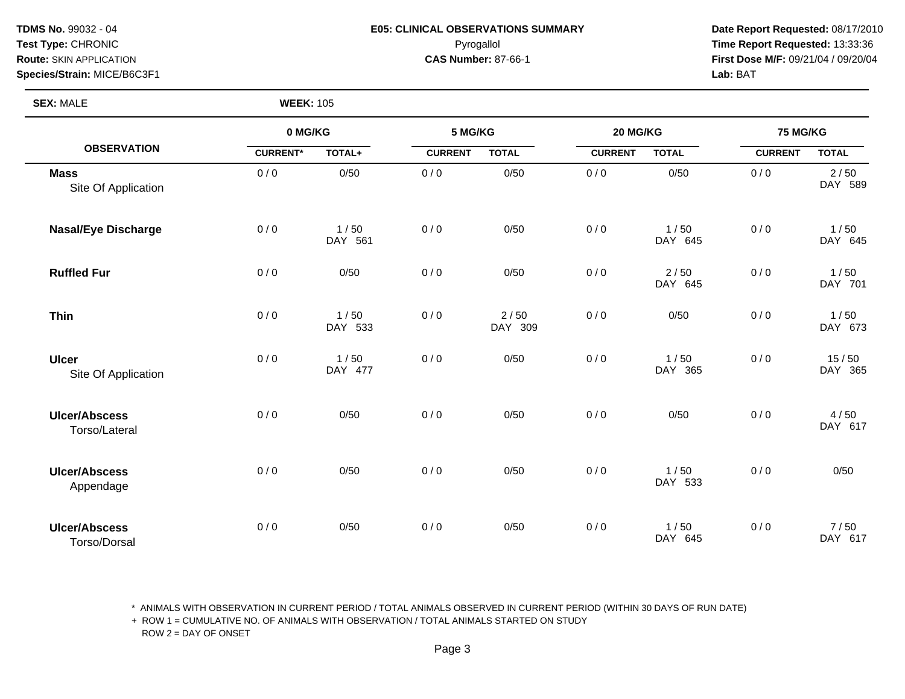# **Species/Strain:** MICE/B6C3F1 **Lab:** BAT

### **TDMS No.** 99032 - 04 **E05: CLINICAL OBSERVATIONS SUMMARY** Date Report Requested: 08/17/2010 **Test Type:** CHRONIC Pyrogallol **Time Report Requested:** 13:33:36 **Route:** SKIN APPLICATION **CAS Number:** 87-66-1 **First Dose M/F:** 09/21/04 / 09/20/04

**SEX:** MALE **WEEK:** 105

|                                             | 0 MG/KG         |                 | 5 MG/KG        |                 | 20 MG/KG       |                 | 75 MG/KG       |                  |
|---------------------------------------------|-----------------|-----------------|----------------|-----------------|----------------|-----------------|----------------|------------------|
| <b>OBSERVATION</b>                          | <b>CURRENT*</b> | TOTAL+          | <b>CURRENT</b> | <b>TOTAL</b>    | <b>CURRENT</b> | <b>TOTAL</b>    | <b>CURRENT</b> | <b>TOTAL</b>     |
| <b>Mass</b><br>Site Of Application          | 0/0             | 0/50            | 0/0            | 0/50            | 0/0            | 0/50            | 0/0            | 2/50<br>DAY 589  |
| <b>Nasal/Eye Discharge</b>                  | 0/0             | 1/50<br>DAY 561 | 0/0            | 0/50            | 0/0            | 1/50<br>DAY 645 | 0/0            | 1/50<br>DAY 645  |
| <b>Ruffled Fur</b>                          | 0/0             | 0/50            | 0/0            | 0/50            | 0/0            | 2/50<br>DAY 645 | 0/0            | 1/50<br>DAY 701  |
| <b>Thin</b>                                 | 0/0             | 1/50<br>DAY 533 | 0/0            | 2/50<br>DAY 309 | 0/0            | 0/50            | 0/0            | 1/50<br>DAY 673  |
| <b>Ulcer</b><br>Site Of Application         | 0/0             | 1/50<br>DAY 477 | 0/0            | 0/50            | 0/0            | 1/50<br>DAY 365 | 0/0            | 15/50<br>DAY 365 |
| <b>Ulcer/Abscess</b><br>Torso/Lateral       | 0/0             | 0/50            | 0/0            | 0/50            | 0/0            | 0/50            | 0/0            | 4/50<br>DAY 617  |
| <b>Ulcer/Abscess</b><br>Appendage           | 0/0             | 0/50            | 0/0            | 0/50            | 0/0            | 1/50<br>DAY 533 | 0/0            | 0/50             |
| <b>Ulcer/Abscess</b><br><b>Torso/Dorsal</b> | 0/0             | 0/50            | 0/0            | 0/50            | 0/0            | 1/50<br>DAY 645 | 0/0            | 7/50<br>DAY 617  |

\* ANIMALS WITH OBSERVATION IN CURRENT PERIOD / TOTAL ANIMALS OBSERVED IN CURRENT PERIOD (WITHIN 30 DAYS OF RUN DATE)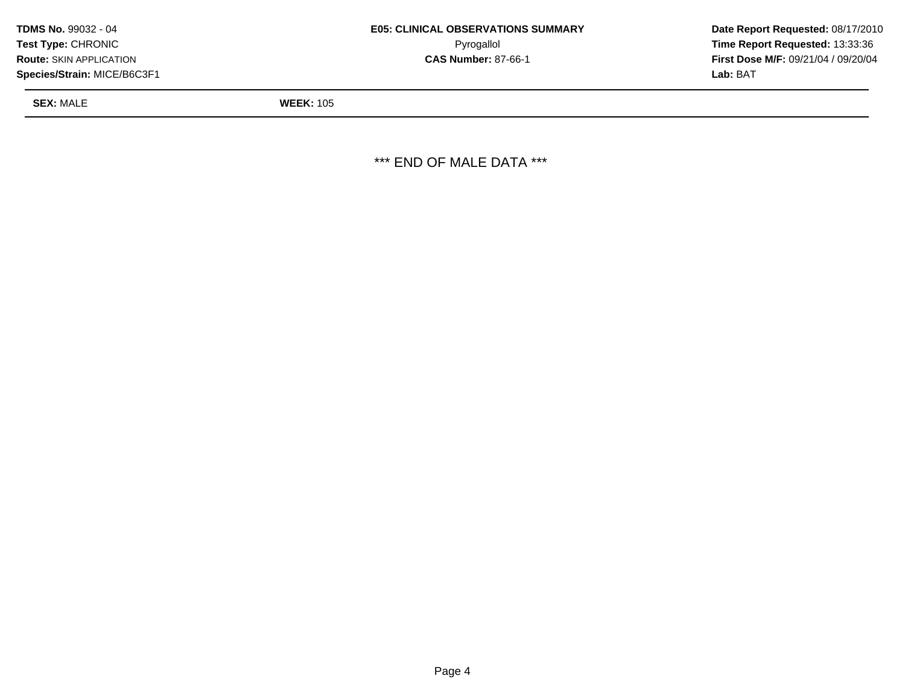| <b>TDMS No. 99032 - 04</b>     | <b>E05: CLINICAL OBSERVATIONS SUMMARY</b> | Date Rep        |
|--------------------------------|-------------------------------------------|-----------------|
| <b>Test Type: CHRONIC</b>      | Pyrogallol                                | Time Rer        |
| <b>Route: SKIN APPLICATION</b> | <b>CAS Number: 87-66-1</b>                | First Dos       |
| Species/Strain: MICE/B6C3F1    |                                           | <b>Lab:</b> BAT |

Pyrogallol **Time Report Requested:** 13:33:36

**SEX:** MALE **WEEK:** 105

\*\*\* END OF MALE DATA \*\*\*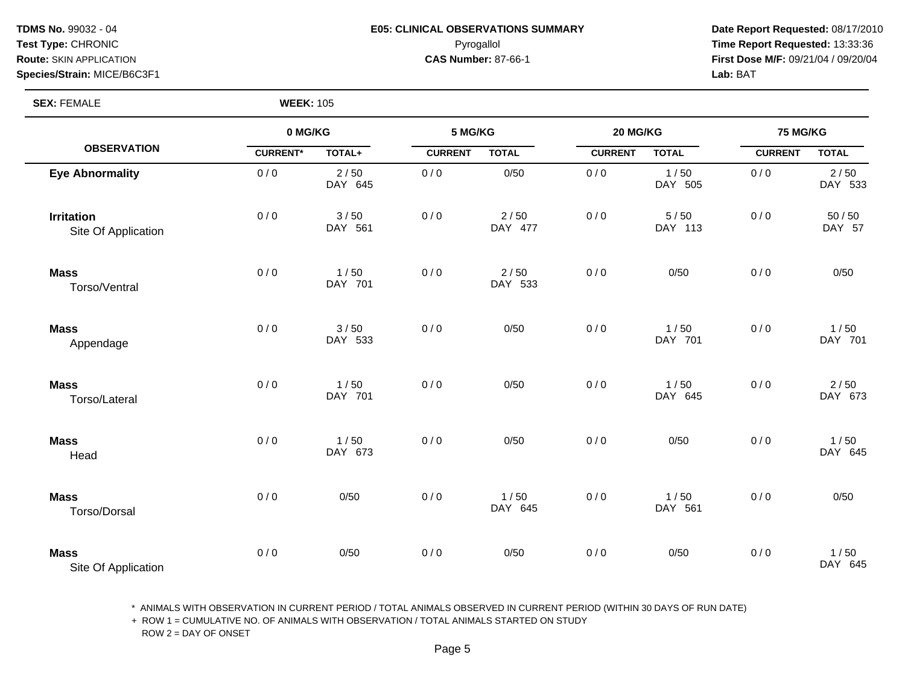# **Species/Strain:** MICE/B6C3F1 **Lab:** BAT

### **TDMS No.** 99032 - 04 **E05: CLINICAL OBSERVATIONS SUMMARY** Date Report Requested: 08/17/2010 **Test Type:** CHRONIC Pyrogallol **Time Report Requested:** 13:33:36 **Route:** SKIN APPLICATION **CAS Number:** 87-66-1 **First Dose M/F:** 09/21/04 / 09/20/04

**SEX:** FEMALE **WEEK:** 105

|                                          | 0 MG/KG         |                 | 5 MG/KG        |                   | 20 MG/KG       |                   | <b>75 MG/KG</b> |                 |
|------------------------------------------|-----------------|-----------------|----------------|-------------------|----------------|-------------------|-----------------|-----------------|
| <b>OBSERVATION</b>                       | <b>CURRENT*</b> | TOTAL+          | <b>CURRENT</b> | <b>TOTAL</b>      | <b>CURRENT</b> | <b>TOTAL</b>      | <b>CURRENT</b>  | <b>TOTAL</b>    |
| <b>Eye Abnormality</b>                   | 0/0             | 2/50<br>DAY 645 | 0/0            | 0/50              | 0/0            | 1/50<br>DAY 505   | 0/0             | 2/50<br>DAY 533 |
| <b>Irritation</b><br>Site Of Application | 0/0             | 3/50<br>DAY 561 | 0/0            | 2/50<br>DAY 477   | 0/0            | $5/50$<br>DAY 113 | 0/0             | 50/50<br>DAY 57 |
| <b>Mass</b><br>Torso/Ventral             | 0/0             | 1/50<br>DAY 701 | 0/0            | $2/50$<br>DAY 533 | 0/0            | 0/50              | 0/0             | 0/50            |
| <b>Mass</b><br>Appendage                 | 0/0             | 3/50<br>DAY 533 | 0/0            | 0/50              | 0/0            | 1/50<br>DAY 701   | 0/0             | 1/50<br>DAY 701 |
| <b>Mass</b><br>Torso/Lateral             | 0/0             | 1/50<br>DAY 701 | 0/0            | 0/50              | 0/0            | 1/50<br>DAY 645   | 0/0             | 2/50<br>DAY 673 |
| <b>Mass</b><br>Head                      | 0/0             | 1/50<br>DAY 673 | 0/0            | 0/50              | 0/0            | 0/50              | 0/0             | 1/50<br>DAY 645 |
| <b>Mass</b><br>Torso/Dorsal              | 0/0             | 0/50            | 0/0            | 1/50<br>DAY 645   | 0/0            | 1/50<br>DAY 561   | 0/0             | 0/50            |
| <b>Mass</b><br>Site Of Application       | 0/0             | 0/50            | 0/0            | 0/50              | 0/0            | 0/50              | 0/0             | 1/50<br>DAY 645 |

\* ANIMALS WITH OBSERVATION IN CURRENT PERIOD / TOTAL ANIMALS OBSERVED IN CURRENT PERIOD (WITHIN 30 DAYS OF RUN DATE)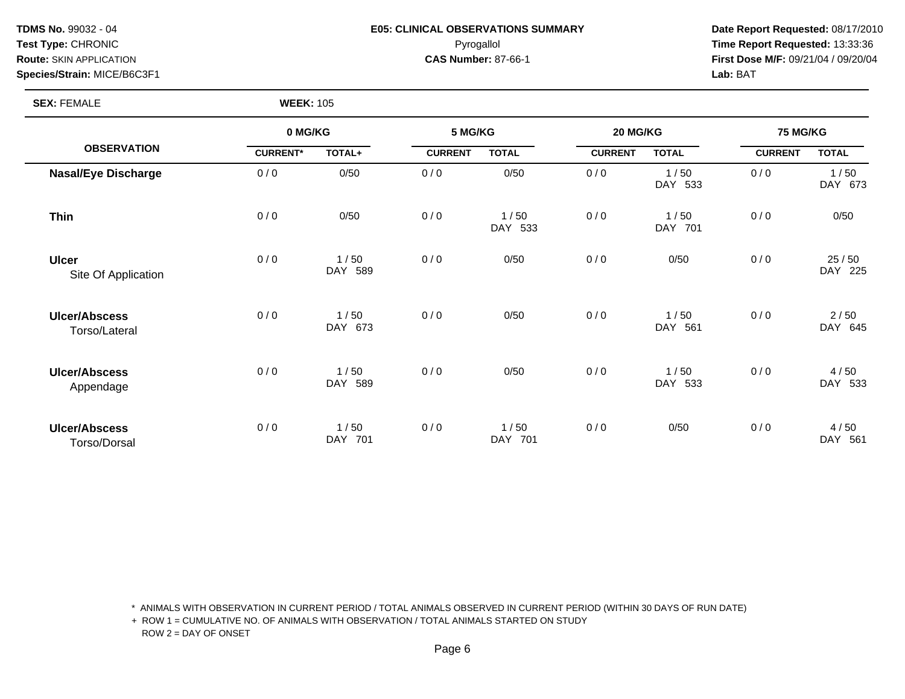# **Species/Strain:** MICE/B6C3F1 **Lab:** BAT

### **TDMS No.** 99032 - 04 **E05: CLINICAL OBSERVATIONS SUMMARY** Date Report Requested: 08/17/2010 **Test Type:** CHRONIC Pyrogallol **Time Report Requested:** 13:33:36 **Route:** SKIN APPLICATION **CAS Number:** 87-66-1 **First Dose M/F:** 09/21/04 / 09/20/04

**SEX:** FEMALE **WEEK:** 105

|                                       | 0 MG/KG         |                 | 5 MG/KG        |                 | 20 MG/KG       |                 | <b>75 MG/KG</b> |                  |
|---------------------------------------|-----------------|-----------------|----------------|-----------------|----------------|-----------------|-----------------|------------------|
| <b>OBSERVATION</b>                    | <b>CURRENT*</b> | TOTAL+          | <b>CURRENT</b> | <b>TOTAL</b>    | <b>CURRENT</b> | <b>TOTAL</b>    | <b>CURRENT</b>  | <b>TOTAL</b>     |
| <b>Nasal/Eye Discharge</b>            | 0/0             | 0/50            | 0/0            | 0/50            | 0/0            | 1/50<br>DAY 533 | 0/0             | 1/50<br>DAY 673  |
| <b>Thin</b>                           | 0/0             | 0/50            | 0/0            | 1/50<br>DAY 533 | 0/0            | 1/50<br>DAY 701 | 0/0             | 0/50             |
| <b>Ulcer</b><br>Site Of Application   | 0/0             | 1/50<br>DAY 589 | 0/0            | 0/50            | 0/0            | 0/50            | 0/0             | 25/50<br>DAY 225 |
| <b>Ulcer/Abscess</b><br>Torso/Lateral | 0/0             | 1/50<br>DAY 673 | 0/0            | 0/50            | 0/0            | 1/50<br>DAY 561 | 0/0             | 2/50<br>DAY 645  |
| <b>Ulcer/Abscess</b><br>Appendage     | 0/0             | 1/50<br>DAY 589 | 0/0            | 0/50            | 0/0            | 1/50<br>DAY 533 | 0/0             | 4/50<br>DAY 533  |
| <b>Ulcer/Abscess</b><br>Torso/Dorsal  | 0/0             | 1/50<br>DAY 701 | 0/0            | 1/50<br>DAY 701 | 0/0            | 0/50            | 0/0             | 4/50<br>DAY 561  |

\* ANIMALS WITH OBSERVATION IN CURRENT PERIOD / TOTAL ANIMALS OBSERVED IN CURRENT PERIOD (WITHIN 30 DAYS OF RUN DATE)